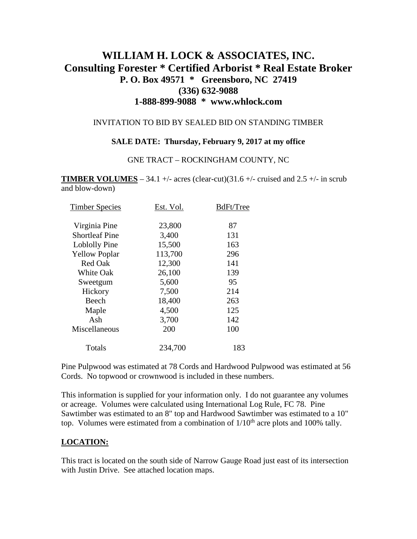# **WILLIAM H. LOCK & ASSOCIATES, INC. Consulting Forester \* Certified Arborist \* Real Estate Broker P. O. Box 49571 \* Greensboro, NC 27419 (336) 632-9088 1-888-899-9088 \* www.whlock.com**

#### INVITATION TO BID BY SEALED BID ON STANDING TIMBER

#### **SALE DATE: Thursday, February 9, 2017 at my office**

#### GNE TRACT – ROCKINGHAM COUNTY, NC

**TIMBER VOLUMES** – 34.1 +/- acres (clear-cut)(31.6 +/- cruised and 2.5 +/- in scrub and blow-down)

| <b>Timber Species</b> | Est. Vol. | BdFt/Tree |
|-----------------------|-----------|-----------|
| Virginia Pine         | 23,800    | 87        |
| <b>Shortleaf Pine</b> | 3,400     | 131       |
| Loblolly Pine         | 15,500    | 163       |
| <b>Yellow Poplar</b>  | 113,700   | 296       |
| <b>Red Oak</b>        | 12,300    | 141       |
| <b>White Oak</b>      | 26,100    | 139       |
| Sweetgum              | 5,600     | 95        |
| Hickory               | 7,500     | 214       |
| Beech                 | 18,400    | 263       |
| Maple                 | 4,500     | 125       |
| Ash                   | 3,700     | 142       |
| Miscellaneous         | 200       | 100       |
| Totals                | 234,700   | 183       |

Pine Pulpwood was estimated at 78 Cords and Hardwood Pulpwood was estimated at 56 Cords. No topwood or crownwood is included in these numbers.

This information is supplied for your information only. I do not guarantee any volumes or acreage. Volumes were calculated using International Log Rule, FC 78. Pine Sawtimber was estimated to an 8" top and Hardwood Sawtimber was estimated to a 10" top. Volumes were estimated from a combination of  $1/10<sup>th</sup>$  acre plots and 100% tally.

#### **LOCATION:**

This tract is located on the south side of Narrow Gauge Road just east of its intersection with Justin Drive. See attached location maps.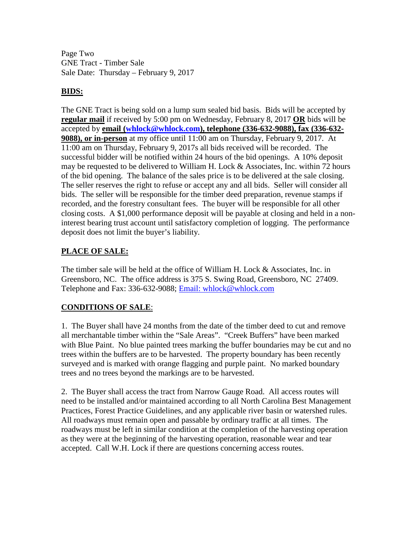Page Two GNE Tract - Timber Sale Sale Date: Thursday – February 9, 2017

### **BIDS:**

The GNE Tract is being sold on a lump sum sealed bid basis. Bids will be accepted by **regular mail** if received by 5:00 pm on Wednesday, February 8, 2017 **OR** bids will be accepted by **email [\(whlock@whlock.com\)](mailto:whlock@whlock.com), telephone (336-632-9088), fax (336-632- 9088), or in-person** at my office until 11:00 am on Thursday, February 9, 2017. At 11:00 am on Thursday, February 9, 2017s all bids received will be recorded. The successful bidder will be notified within 24 hours of the bid openings. A 10% deposit may be requested to be delivered to William H. Lock & Associates, Inc. within 72 hours of the bid opening. The balance of the sales price is to be delivered at the sale closing. The seller reserves the right to refuse or accept any and all bids. Seller will consider all bids. The seller will be responsible for the timber deed preparation, revenue stamps if recorded, and the forestry consultant fees. The buyer will be responsible for all other closing costs. A \$1,000 performance deposit will be payable at closing and held in a noninterest bearing trust account until satisfactory completion of logging. The performance deposit does not limit the buyer's liability.

### **PLACE OF SALE:**

The timber sale will be held at the office of William H. Lock & Associates, Inc. in Greensboro, NC. The office address is 375 S. Swing Road, Greensboro, NC 27409. Telephone and Fax: 336-632-9088; [Email: whlock@whlock.com](mailto:Email:%20whlock@whlock.com) 

## **CONDITIONS OF SALE**:

1. The Buyer shall have 24 months from the date of the timber deed to cut and remove all merchantable timber within the "Sale Areas". "Creek Buffers" have been marked with Blue Paint. No blue painted trees marking the buffer boundaries may be cut and no trees within the buffers are to be harvested. The property boundary has been recently surveyed and is marked with orange flagging and purple paint. No marked boundary trees and no trees beyond the markings are to be harvested.

2. The Buyer shall access the tract from Narrow Gauge Road. All access routes will need to be installed and/or maintained according to all North Carolina Best Management Practices, Forest Practice Guidelines, and any applicable river basin or watershed rules. All roadways must remain open and passable by ordinary traffic at all times. The roadways must be left in similar condition at the completion of the harvesting operation as they were at the beginning of the harvesting operation, reasonable wear and tear accepted. Call W.H. Lock if there are questions concerning access routes.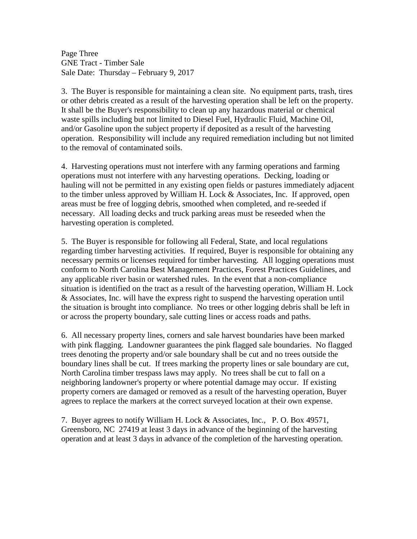Page Three GNE Tract - Timber Sale Sale Date: Thursday – February 9, 2017

3. The Buyer is responsible for maintaining a clean site. No equipment parts, trash, tires or other debris created as a result of the harvesting operation shall be left on the property. It shall be the Buyer's responsibility to clean up any hazardous material or chemical waste spills including but not limited to Diesel Fuel, Hydraulic Fluid, Machine Oil, and/or Gasoline upon the subject property if deposited as a result of the harvesting operation. Responsibility will include any required remediation including but not limited to the removal of contaminated soils.

4. Harvesting operations must not interfere with any farming operations and farming operations must not interfere with any harvesting operations. Decking, loading or hauling will not be permitted in any existing open fields or pastures immediately adjacent to the timber unless approved by William H. Lock & Associates, Inc. If approved, open areas must be free of logging debris, smoothed when completed, and re-seeded if necessary. All loading decks and truck parking areas must be reseeded when the harvesting operation is completed.

5. The Buyer is responsible for following all Federal, State, and local regulations regarding timber harvesting activities. If required, Buyer is responsible for obtaining any necessary permits or licenses required for timber harvesting. All logging operations must conform to North Carolina Best Management Practices, Forest Practices Guidelines, and any applicable river basin or watershed rules. In the event that a non-compliance situation is identified on the tract as a result of the harvesting operation, William H. Lock & Associates, Inc. will have the express right to suspend the harvesting operation until the situation is brought into compliance. No trees or other logging debris shall be left in or across the property boundary, sale cutting lines or access roads and paths.

6. All necessary property lines, corners and sale harvest boundaries have been marked with pink flagging. Landowner guarantees the pink flagged sale boundaries. No flagged trees denoting the property and/or sale boundary shall be cut and no trees outside the boundary lines shall be cut. If trees marking the property lines or sale boundary are cut, North Carolina timber trespass laws may apply. No trees shall be cut to fall on a neighboring landowner's property or where potential damage may occur. If existing property corners are damaged or removed as a result of the harvesting operation, Buyer agrees to replace the markers at the correct surveyed location at their own expense.

7. Buyer agrees to notify William H. Lock & Associates, Inc., P. O. Box 49571, Greensboro, NC 27419 at least 3 days in advance of the beginning of the harvesting operation and at least 3 days in advance of the completion of the harvesting operation.